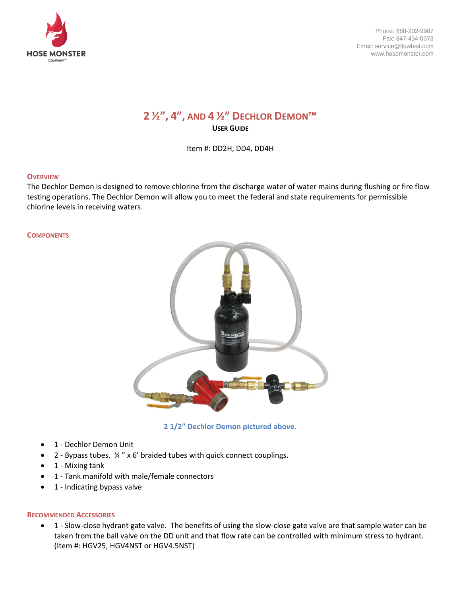

Phone: 888-202-9987 Fax: 847-434-0073 Email: service@flowtest.com www.hosemonster.com

# **2 ½", 4", AND 4 ½" DECHLOR DEMON™ USER GUIDE**

Item #: DD2H, DD4, DD4H

#### **OVERVIEW**

The Dechlor Demon is designed to remove chlorine from the discharge water of water mains during flushing or fire flow testing operations. The Dechlor Demon will allow you to meet the federal and state requirements for permissible chlorine levels in receiving waters.

#### **COMPONENTS**



**2 1/2" Dechlor Demon pictured above.**

- 1 Dechlor Demon Unit
- 2 Bypass tubes. ¾ " x 6' braided tubes with quick connect couplings.
- 1 Mixing tank
- 1 Tank manifold with male/female connectors
- 1 Indicating bypass valve

## **RECOMMENDED ACCESSORIES**

• 1 - Slow-close hydrant gate valve. The benefits of using the slow-close gate valve are that sample water can be taken from the ball valve on the DD unit and that flow rate can be controlled with minimum stress to hydrant. (Item #: HGV25, HGV4NST or HGV4.5NST)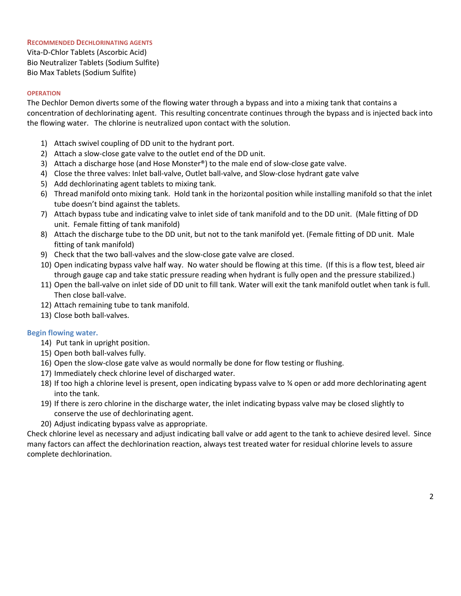## **RECOMMENDED DECHLORINATING AGENTS**

Vita-D-Chlor Tablets (Ascorbic Acid) Bio Neutralizer Tablets (Sodium Sulfite) Bio Max Tablets (Sodium Sulfite)

#### **OPERATION**

The Dechlor Demon diverts some of the flowing water through a bypass and into a mixing tank that contains a concentration of dechlorinating agent. This resulting concentrate continues through the bypass and is injected back into the flowing water. The chlorine is neutralized upon contact with the solution.

- 1) Attach swivel coupling of DD unit to the hydrant port.
- 2) Attach a slow-close gate valve to the outlet end of the DD unit.
- 3) Attach a discharge hose (and Hose Monster®) to the male end of slow-close gate valve.
- 4) Close the three valves: Inlet ball-valve, Outlet ball-valve, and Slow-close hydrant gate valve
- 5) Add dechlorinating agent tablets to mixing tank.
- 6) Thread manifold onto mixing tank. Hold tank in the horizontal position while installing manifold so that the inlet tube doesn't bind against the tablets.
- 7) Attach bypass tube and indicating valve to inlet side of tank manifold and to the DD unit. (Male fitting of DD unit. Female fitting of tank manifold)
- 8) Attach the discharge tube to the DD unit, but not to the tank manifold yet. (Female fitting of DD unit. Male fitting of tank manifold)
- 9) Check that the two ball-valves and the slow-close gate valve are closed.
- 10) Open indicating bypass valve half way. No water should be flowing at this time. (If this is a flow test, bleed air through gauge cap and take static pressure reading when hydrant is fully open and the pressure stabilized.)
- 11) Open the ball-valve on inlet side of DD unit to fill tank. Water will exit the tank manifold outlet when tank is full. Then close ball-valve.
- 12) Attach remaining tube to tank manifold.
- 13) Close both ball-valves.

## **Begin flowing water.**

- 14) Put tank in upright position.
- 15) Open both ball-valves fully.
- 16) Open the slow-close gate valve as would normally be done for flow testing or flushing.
- 17) Immediately check chlorine level of discharged water.
- 18) If too high a chlorine level is present, open indicating bypass valve to ¾ open or add more dechlorinating agent into the tank.
- 19) If there is zero chlorine in the discharge water, the inlet indicating bypass valve may be closed slightly to conserve the use of dechlorinating agent.
- 20) Adjust indicating bypass valve as appropriate.

Check chlorine level as necessary and adjust indicating ball valve or add agent to the tank to achieve desired level. Since many factors can affect the dechlorination reaction, always test treated water for residual chlorine levels to assure complete dechlorination.